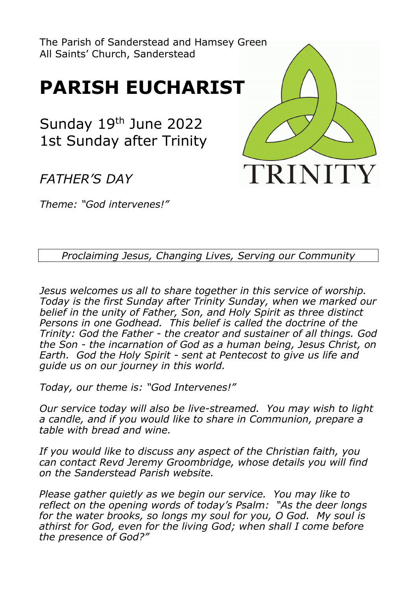The Parish of Sanderstead and Hamsey Green All Saints' Church, Sanderstead

# **PARISH EUCHARIST**

Sunday 19th June 2022 1st Sunday after Trinity

*FATHER'S DAY*

*Theme: "God intervenes!"*



*Proclaiming Jesus, Changing Lives, Serving our Community*

*Jesus welcomes us all to share together in this service of worship. Today is the first Sunday after Trinity Sunday, when we marked our belief in the unity of Father, Son, and Holy Spirit as three distinct Persons in one Godhead. This belief is called the doctrine of the Trinity: God the Father - the creator and sustainer of all things. God the Son - the incarnation of God as a human being, Jesus Christ, on Earth. God the Holy Spirit - sent at Pentecost to give us life and guide us on our journey in this world.*

*Today, our theme is: "God Intervenes!"*

*Our service today will also be live-streamed. You may wish to light a candle, and if you would like to share in Communion, prepare a table with bread and wine.* 

*If you would like to discuss any aspect of the Christian faith, you can contact Revd Jeremy Groombridge, whose details you will find on the Sanderstead Parish website.*

*Please gather quietly as we begin our service. You may like to reflect on the opening words of today's Psalm: "As the deer longs for the water brooks, so longs my soul for you, O God. My soul is athirst for God, even for the living God; when shall I come before the presence of God?"*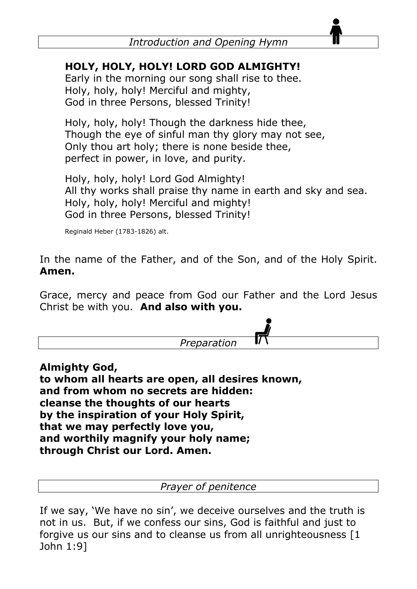#### **HOLY, HOLY, HOLY! LORD GOD ALMIGHTY!**

Early in the morning our song shall rise to thee. Holy, holy, holy! Merciful and mighty, God in three Persons, blessed Trinity!

Holy, holy, holy! Though the darkness hide thee, Though the eye of sinful man thy glory may not see, Only thou art holy; there is none beside thee, perfect in power, in love, and purity.

Holy, holy, holy! Lord God Almighty! All thy works shall praise thy name in earth and sky and sea. Holy, holy, holy! Merciful and mighty! God in three Persons, blessed Trinity!

Reginald Heber (1783-1826) alt.

In the name of the Father, and of the Son, and of the Holy Spirit. **Amen.**

Grace, mercy and peace from God our Father and the Lord Jesus Christ be with you. **And also with you.**



**Almighty God, to whom all hearts are open, all desires known, and from whom no secrets are hidden: cleanse the thoughts of our hearts by the inspiration of your Holy Spirit, that we may perfectly love you, and worthily magnify your holy name; through Christ our Lord. Amen.**

*Prayer of penitence*

If we say, 'We have no sin', we deceive ourselves and the truth is not in us. But, if we confess our sins, God is faithful and just to forgive us our sins and to cleanse us from all unrighteousness [1 John 1:9]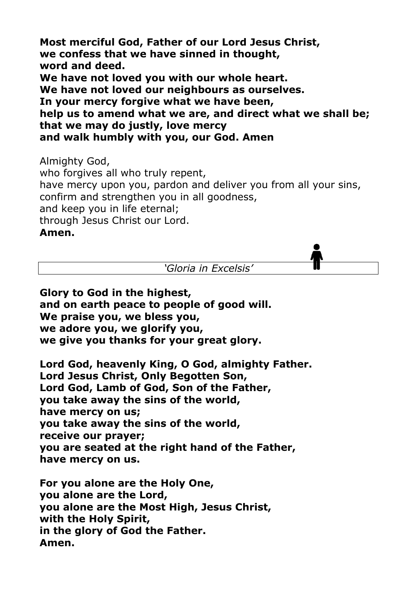**Most merciful God, Father of our Lord Jesus Christ, we confess that we have sinned in thought, word and deed. We have not loved you with our whole heart. We have not loved our neighbours as ourselves. In your mercy forgive what we have been, help us to amend what we are, and direct what we shall be; that we may do justly, love mercy and walk humbly with you, our God. Amen**

Almighty God,

who forgives all who truly repent, have mercy upon you, pardon and deliver you from all your sins, confirm and strengthen you in all goodness, and keep you in life eternal; through Jesus Christ our Lord.

#### **Amen.**

*'Gloria in Excelsis'*

**Glory to God in the highest, and on earth peace to people of good will. We praise you, we bless you, we adore you, we glorify you, we give you thanks for your great glory.**

**Lord God, heavenly King, O God, almighty Father. Lord Jesus Christ, Only Begotten Son, Lord God, Lamb of God, Son of the Father, you take away the sins of the world, have mercy on us; you take away the sins of the world, receive our prayer; you are seated at the right hand of the Father, have mercy on us.**

**For you alone are the Holy One, you alone are the Lord, you alone are the Most High, Jesus Christ, with the Holy Spirit, in the glory of God the Father. Amen.**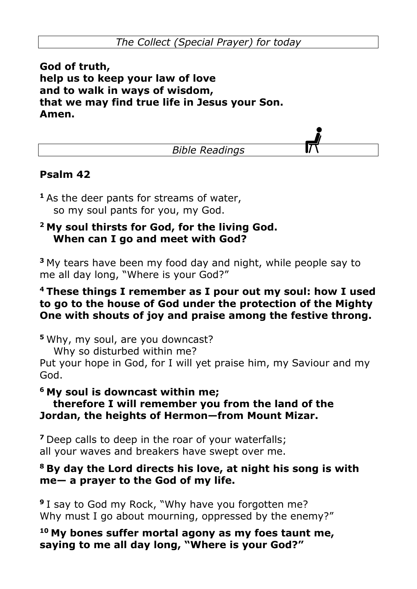**God of truth, help us to keep your law of love and to walk in ways of wisdom, that we may find true life in Jesus your Son. Amen.**

*Bible Readings*

#### **Psalm 42**

**<sup>1</sup>**As the deer pants for streams of water, so my soul pants for you, my God.

#### **2 My soul thirsts for God, for the living God. When can I go and meet with God?**

**<sup>3</sup>**My tears have been my food day and night, while people say to me all day long, "Where is your God?"

#### **4 These things I remember as I pour out my soul: how I used to go to the house of God under the protection of the Mighty One with shouts of joy and praise among the festive throng.**

**<sup>5</sup>**Why, my soul, are you downcast?

Why so disturbed within me?

Put your hope in God, for I will yet praise him, my Saviour and my God.

#### **6 My soul is downcast within me;**

#### **therefore I will remember you from the land of the Jordan, the heights of Hermon—from Mount Mizar.**

**<sup>7</sup>**Deep calls to deep in the roar of your waterfalls; all your waves and breakers have swept over me.

#### **8 By day the Lord directs his love, at night his song is with me— a prayer to the God of my life.**

**<sup>9</sup>**I say to God my Rock, "Why have you forgotten me? Why must I go about mourning, oppressed by the enemy?"

**<sup>10</sup> My bones suffer mortal agony as my foes taunt me, saying to me all day long, "Where is your God?"**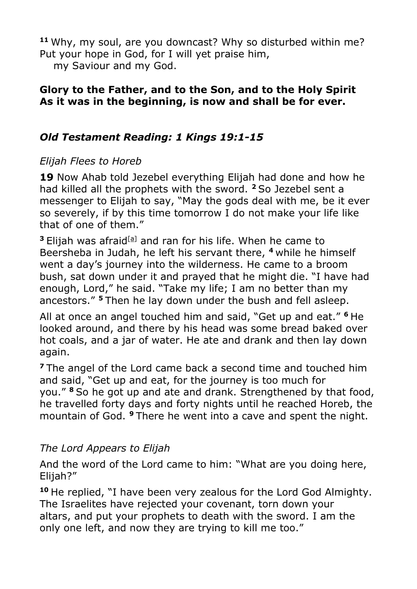**<sup>11</sup>** Why, my soul, are you downcast? Why so disturbed within me? Put your hope in God, for I will yet praise him,

my Saviour and my God.

#### **Glory to the Father, and to the Son, and to the Holy Spirit As it was in the beginning, is now and shall be for ever.**

#### *Old Testament Reading: 1 Kings 19:1-15*

#### *Elijah Flees to Horeb*

**19** Now Ahab told Jezebel everything Elijah had done and how he had killed all the prophets with the sword. **<sup>2</sup>**So Jezebel sent a messenger to Elijah to say, "May the gods deal with me, be it ever so severely, if by this time tomorrow I do not make your life like that of one of them."

<sup>3</sup> Elijah was afraid<sup>[\[a\]](https://www.biblegateway.com/passage/?search=1+Kings+19%3A1-15&version=NIV#fen-NIV-9391a)</sup> and ran for his life. When he came to Beersheba in Judah, he left his servant there, **<sup>4</sup>**while he himself went a day's journey into the wilderness. He came to a broom bush, sat down under it and prayed that he might die. "I have had enough, Lord," he said. "Take my life; I am no better than my ancestors." **<sup>5</sup>**Then he lay down under the bush and fell asleep.

All at once an angel touched him and said, "Get up and eat." **<sup>6</sup>**He looked around, and there by his head was some bread baked over hot coals, and a jar of water. He ate and drank and then lay down again.

**<sup>7</sup>**The angel of the Lord came back a second time and touched him and said, "Get up and eat, for the journey is too much for you." **<sup>8</sup>**So he got up and ate and drank. Strengthened by that food, he travelled forty days and forty nights until he reached Horeb, the mountain of God. **<sup>9</sup>**There he went into a cave and spent the night.

#### *The Lord Appears to Elijah*

And the word of the Lord came to him: "What are you doing here, Elijah?"

**<sup>10</sup>** He replied, "I have been very zealous for the Lord God Almighty. The Israelites have rejected your covenant, torn down your altars, and put your prophets to death with the sword. I am the only one left, and now they are trying to kill me too."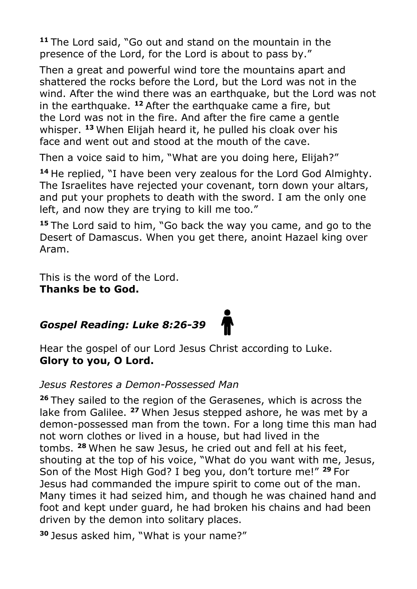**<sup>11</sup>** The Lord said, "Go out and stand on the mountain in the presence of the Lord, for the Lord is about to pass by."

Then a great and powerful wind tore the mountains apart and shattered the rocks before the Lord, but the Lord was not in the wind. After the wind there was an earthquake, but the Lord was not in the earthquake. **<sup>12</sup>** After the earthquake came a fire, but the Lord was not in the fire. And after the fire came a gentle whisper. **<sup>13</sup>** When Elijah heard it, he pulled his cloak over his face and went out and stood at the mouth of the cave.

Then a voice said to him, "What are you doing here, Elijah?"

**<sup>14</sup>** He replied, "I have been very zealous for the Lord God Almighty. The Israelites have rejected your covenant, torn down your altars, and put your prophets to death with the sword. I am the only one left, and now they are trying to kill me too."

**<sup>15</sup>** The Lord said to him, "Go back the way you came, and go to the Desert of Damascus. When you get there, anoint Hazael king over Aram.

This is the word of the Lord. **Thanks be to God.**

### *Gospel Reading: Luke 8:26-39*



Hear the gospel of our Lord Jesus Christ according to Luke. **Glory to you, O Lord.**

#### *Jesus Restores a Demon-Possessed Man*

**<sup>26</sup>** They sailed to the region of the Gerasenes, which is across the lake from Galilee. **<sup>27</sup>** When Jesus stepped ashore, he was met by a demon-possessed man from the town. For a long time this man had not worn clothes or lived in a house, but had lived in the tombs. **<sup>28</sup>** When he saw Jesus, he cried out and fell at his feet, shouting at the top of his voice, "What do you want with me, Jesus, Son of the Most High God? I beg you, don't torture me!" **<sup>29</sup>** For Jesus had commanded the impure spirit to come out of the man. Many times it had seized him, and though he was chained hand and foot and kept under guard, he had broken his chains and had been driven by the demon into solitary places.

**<sup>30</sup>** Jesus asked him, "What is your name?"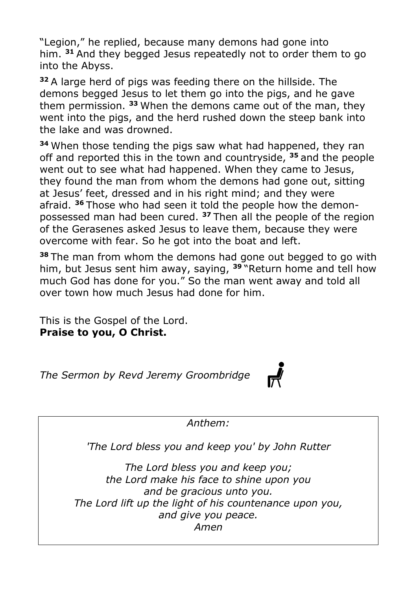"Legion," he replied, because many demons had gone into him. **<sup>31</sup>** And they begged Jesus repeatedly not to order them to go into the Abyss.

**<sup>32</sup>** A large herd of pigs was feeding there on the hillside. The demons begged Jesus to let them go into the pigs, and he gave them permission. **<sup>33</sup>** When the demons came out of the man, they went into the pigs, and the herd rushed down the steep bank into the lake and was drowned.

**<sup>34</sup>** When those tending the pigs saw what had happened, they ran off and reported this in the town and countryside, **<sup>35</sup>** and the people went out to see what had happened. When they came to Jesus, they found the man from whom the demons had gone out, sitting at Jesus' feet, dressed and in his right mind; and they were afraid. **<sup>36</sup>** Those who had seen it told the people how the demonpossessed man had been cured. **<sup>37</sup>** Then all the people of the region of the Gerasenes asked Jesus to leave them, because they were overcome with fear. So he got into the boat and left.

**<sup>38</sup>** The man from whom the demons had gone out begged to go with him, but Jesus sent him away, saying, **<sup>39</sup>** "Return home and tell how much God has done for you." So the man went away and told all over town how much Jesus had done for him.

This is the Gospel of the Lord. **Praise to you, O Christ.**

*The Sermon by Revd Jeremy Groombridge*



*Anthem:* 

*'The Lord bless you and keep you' by John Rutter*

*The Lord bless you and keep you; the Lord make his face to shine upon you and be gracious unto you. The Lord lift up the light of his countenance upon you, and give you peace. Amen*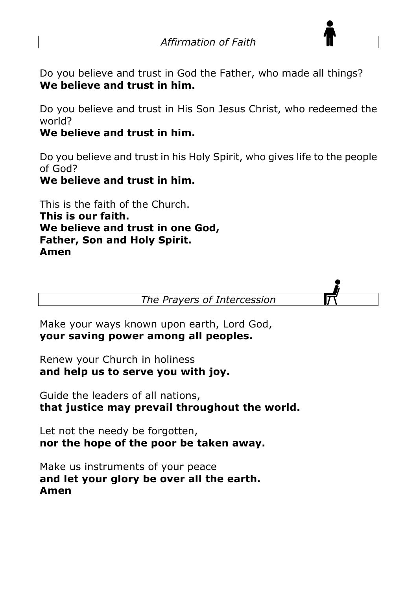Do you believe and trust in God the Father, who made all things? **We believe and trust in him.**

Do you believe and trust in His Son Jesus Christ, who redeemed the world?

#### **We believe and trust in him.**

Do you believe and trust in his Holy Spirit, who gives life to the people of God?

#### **We believe and trust in him.**

This is the faith of the Church. **This is our faith. We believe and trust in one God, Father, Son and Holy Spirit. Amen**

*The Prayers of Intercession*

Make your ways known upon earth, Lord God, **your saving power among all peoples.**

Renew your Church in holiness **and help us to serve you with joy.**

Guide the leaders of all nations, **that justice may prevail throughout the world.**

Let not the needy be forgotten, **nor the hope of the poor be taken away.**

Make us instruments of your peace **and let your glory be over all the earth. Amen**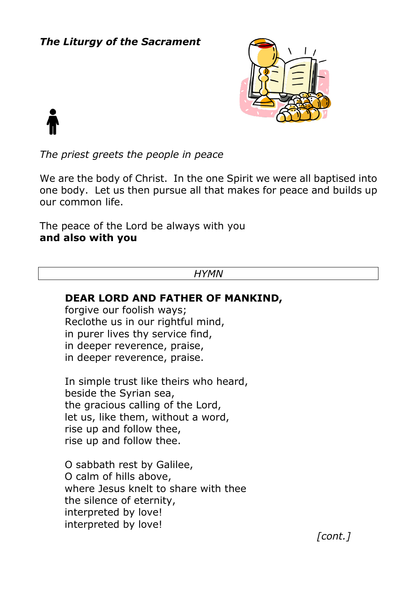#### *The Liturgy of the Sacrament*



*The priest greets the people in peace*

We are the body of Christ. In the one Spirit we were all baptised into one body. Let us then pursue all that makes for peace and builds up our common life.

The peace of the Lord be always with you **and also with you**

#### *HYMN*

#### **DEAR LORD AND FATHER OF MANKIND,**

forgive our foolish ways; Reclothe us in our rightful mind, in purer lives thy service find, in deeper reverence, praise, in deeper reverence, praise.

In simple trust like theirs who heard, beside the Syrian sea, the gracious calling of the Lord, let us, like them, without a word, rise up and follow thee, rise up and follow thee.

O sabbath rest by Galilee, O calm of hills above, where Jesus knelt to share with thee the silence of eternity, interpreted by love! interpreted by love!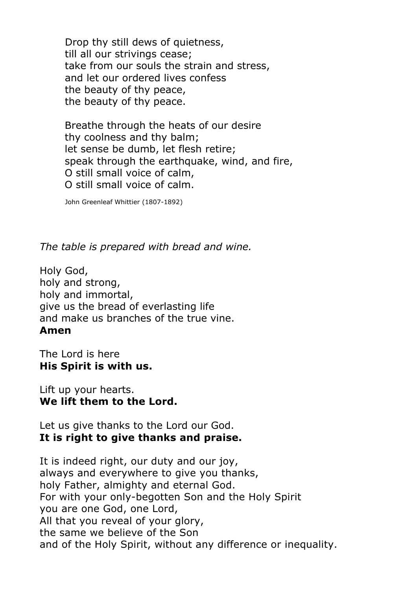Drop thy still dews of quietness, till all our strivings cease; take from our souls the strain and stress, and let our ordered lives confess the beauty of thy peace, the beauty of thy peace.

Breathe through the heats of our desire thy coolness and thy balm; let sense be dumb, let flesh retire; speak through the earthquake, wind, and fire, O still small voice of calm, O still small voice of calm.

John Greenleaf Whittier (1807-1892)

*The table is prepared with bread and wine.*

Holy God, holy and strong, holy and immortal, give us the bread of everlasting life and make us branches of the true vine. **Amen**

The Lord is here **His Spirit is with us.**

Lift up your hearts. **We lift them to the Lord.**

Let us give thanks to the Lord our God. **It is right to give thanks and praise.**

It is indeed right, our duty and our joy, always and everywhere to give you thanks, holy Father, almighty and eternal God. For with your only-begotten Son and the Holy Spirit you are one God, one Lord, All that you reveal of your glory, the same we believe of the Son and of the Holy Spirit, without any difference or inequality.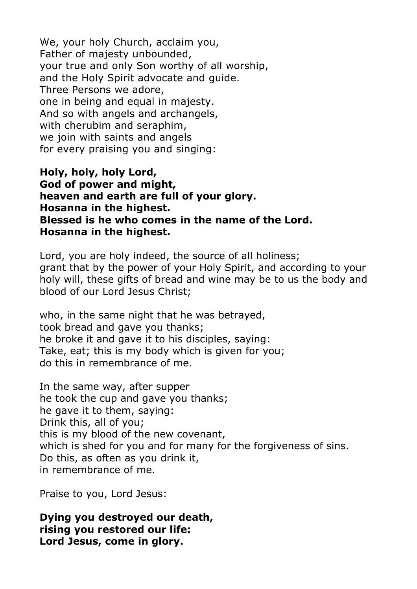We, your holy Church, acclaim you, Father of majesty unbounded, your true and only Son worthy of all worship, and the Holy Spirit advocate and guide. Three Persons we adore, one in being and equal in majesty. And so with angels and archangels, with cherubim and seraphim, we join with saints and angels for every praising you and singing:

**Holy, holy, holy Lord, God of power and might, heaven and earth are full of your glory. Hosanna in the highest. Blessed is he who comes in the name of the Lord. Hosanna in the highest.**

Lord, you are holy indeed, the source of all holiness; grant that by the power of your Holy Spirit, and according to your holy will, these gifts of bread and wine may be to us the body and blood of our Lord Jesus Christ;

who, in the same night that he was betrayed, took bread and gave you thanks; he broke it and gave it to his disciples, saying: Take, eat; this is my body which is given for you; do this in remembrance of me.

In the same way, after supper he took the cup and gave you thanks; he gave it to them, saying: Drink this, all of you; this is my blood of the new covenant, which is shed for you and for many for the forgiveness of sins. Do this, as often as you drink it, in remembrance of me.

Praise to you, Lord Jesus:

**Dying you destroyed our death, rising you restored our life: Lord Jesus, come in glory.**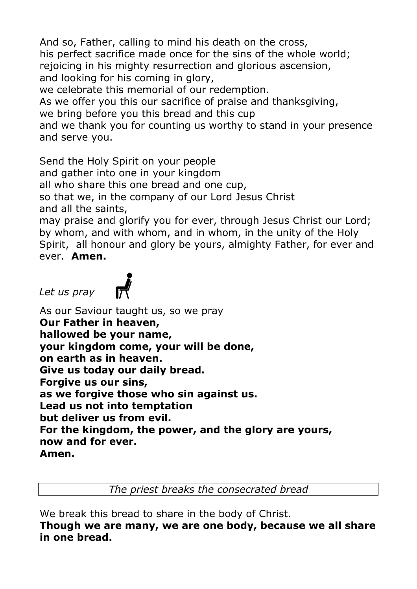And so, Father, calling to mind his death on the cross, his perfect sacrifice made once for the sins of the whole world; rejoicing in his mighty resurrection and glorious ascension, and looking for his coming in glory, we celebrate this memorial of our redemption. As we offer you this our sacrifice of praise and thanksgiving, we bring before you this bread and this cup and we thank you for counting us worthy to stand in your presence and serve you.

Send the Holy Spirit on your people

and gather into one in your kingdom

all who share this one bread and one cup,

so that we, in the company of our Lord Jesus Christ and all the saints,

may praise and glorify you for ever, through Jesus Christ our Lord; by whom, and with whom, and in whom, in the unity of the Holy Spirit, all honour and glory be yours, almighty Father, for ever and ever. **Amen.**

*Let us pray*



As our Saviour taught us, so we pray **Our Father in heaven, hallowed be your name, your kingdom come, your will be done, on earth as in heaven. Give us today our daily bread. Forgive us our sins, as we forgive those who sin against us. Lead us not into temptation but deliver us from evil. For the kingdom, the power, and the glory are yours, now and for ever. Amen.**

*The priest breaks the consecrated bread*

We break this bread to share in the body of Christ.

**Though we are many, we are one body, because we all share in one bread.**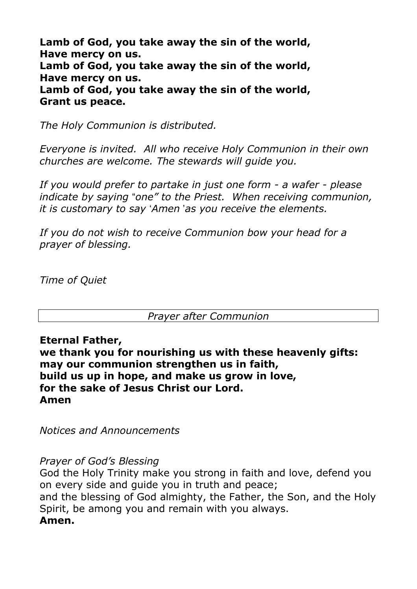**Lamb of God, you take away the sin of the world, Have mercy on us. Lamb of God, you take away the sin of the world, Have mercy on us. Lamb of God, you take away the sin of the world, Grant us peace.**

*The Holy Communion is distributed.*

*Everyone is invited. All who receive Holy Communion in their own churches are welcome. The stewards will guide you.* 

*If you would prefer to partake in just one form - a wafer - please indicate by saying* "*one" to the Priest. When receiving communion, it is customary to say* '*Amen* '*as you receive the elements.* 

*If you do not wish to receive Communion bow your head for a prayer of blessing.* 

*Time of Quiet*

#### *Prayer after Communion*

**Eternal Father,**

**we thank you for nourishing us with these heavenly gifts: may our communion strengthen us in faith, build us up in hope, and make us grow in love, for the sake of Jesus Christ our Lord. Amen**

*Notices and Announcements* 

*Prayer of God's Blessing*

God the Holy Trinity make you strong in faith and love, defend you on every side and guide you in truth and peace; and the blessing of God almighty, the Father, the Son, and the Holy Spirit, be among you and remain with you always. **Amen.**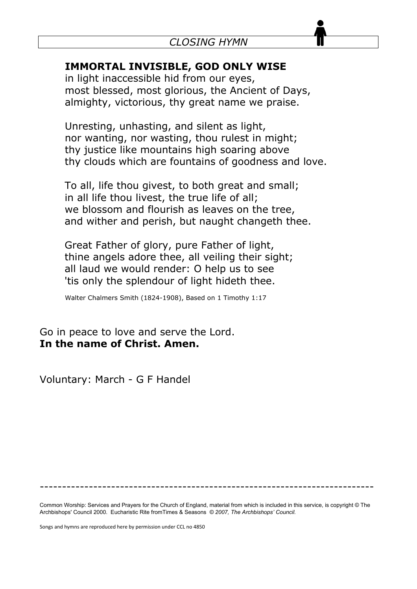#### **IMMORTAL INVISIBLE, GOD ONLY WISE**

in light inaccessible hid from our eyes, most blessed, most glorious, the Ancient of Days, almighty, victorious, thy great name we praise.

Unresting, unhasting, and silent as light, nor wanting, nor wasting, thou rulest in might; thy justice like mountains high soaring above thy clouds which are fountains of goodness and love.

To all, life thou givest, to both great and small; in all life thou livest, the true life of all; we blossom and flourish as leaves on the tree, and wither and perish, but naught changeth thee.

Great Father of glory, pure Father of light, thine angels adore thee, all veiling their sight; all laud we would render: O help us to see 'tis only the splendour of light hideth thee.

Walter Chalmers Smith (1824-1908), Based on 1 Timothy 1:17

Go in peace to love and serve the Lord. **In the name of Christ. Amen.**

Voluntary: March - G F Handel

---------------------------------------------------------------------------

Common Worship: Services and Prayers for the Church of England, material from which is included in this service, is copyright © The Archbishops' Council 2000. Eucharistic Rite fromTimes & Seasons *© 2007, The Archbishops' Council.*

Songs and hymns are reproduced here by permission under CCL no 4850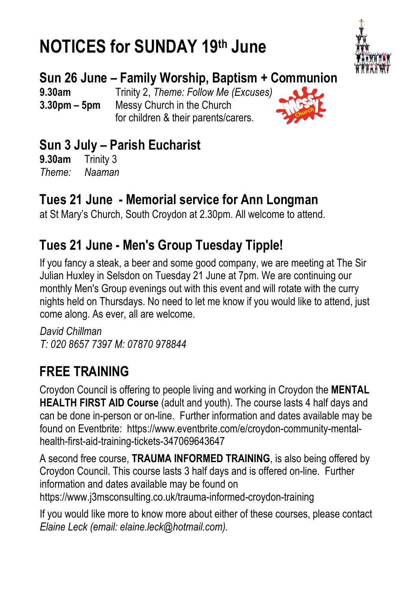# **NOTICES for SUNDAY 19th June**



### **Sun 26 June – Family Worship, Baptism + Communion**

**9.30am** Trinity 2, *Theme: Follow Me (Excuses)* **3.30pm – 5pm** Messy Church in the Church for children & their parents/carers.



### **Sun 3 July – Parish Eucharist**

**9.30am** Trinity 3 *Theme: Naaman*

### **Tues 21 June - Memorial service for Ann Longman**

at St Mary's Church, South Croydon at 2.30pm. All welcome to attend.

### **Tues 21 June - Men's Group Tuesday Tipple!**

If you fancy a steak, a beer and some good company, we are meeting at The Sir Julian Huxley in Selsdon on Tuesday 21 June at 7pm. We are continuing our monthly Men's Group evenings out with this event and will rotate with the curry nights held on Thursdays. No need to let me know if you would like to attend, just come along. As ever, all are welcome.

*David Chillman T: 020 8657 7397 M: 07870 978844*

### **FREE TRAINING**

Croydon Council is offering to people living and working in Croydon the **MENTAL HEALTH FIRST AID Course** (adult and youth). The course lasts 4 half days and can be done in-person or on-line. Further information and dates available may be found on Eventbrite: https://www.eventbrite.com/e/croydon-community-mentalhealth-first-aid-training-tickets-347069643647

A second free course, **TRAUMA INFORMED TRAINING**, is also being offered by Croydon Council. This course lasts 3 half days and is offered on-line. Further information and dates available may be found on https://www.j3msconsulting.co.uk/trauma-informed-croydon-training

If you would like more to know more about either of these courses, please contact *Elaine Leck (email: elaine.leck@hotmail.com).*